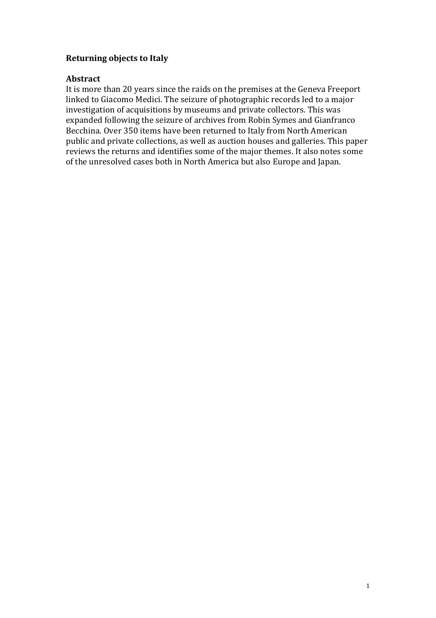# **Returning objects to Italy**

# **Abstract**

It is more than 20 years since the raids on the premises at the Geneva Freeport linked to Giacomo Medici. The seizure of photographic records led to a major investigation of acquisitions by museums and private collectors. This was expanded following the seizure of archives from Robin Symes and Gianfranco Becchina. Over 350 items have been returned to Italy from North American public and private collections, as well as auction houses and galleries. This paper reviews the returns and identifies some of the major themes. It also notes some of the unresolved cases both in North America but also Europe and Japan.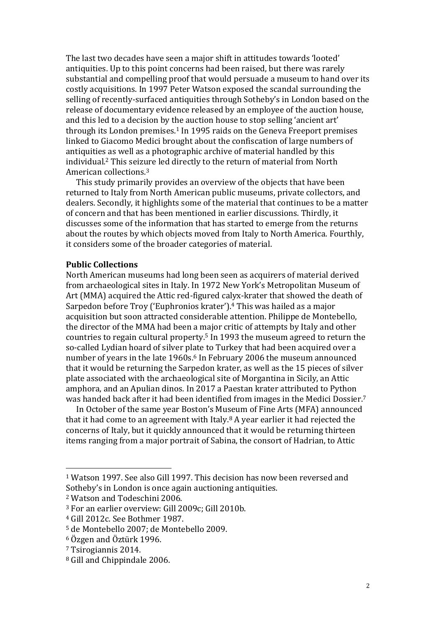The last two decades have seen a major shift in attitudes towards 'looted' antiquities. Up to this point concerns had been raised, but there was rarely substantial and compelling proof that would persuade a museum to hand over its costly acquisitions. In 1997 Peter Watson exposed the scandal surrounding the selling of recently-surfaced antiquities through Sotheby's in London based on the release of documentary evidence released by an employee of the auction house, and this led to a decision by the auction house to stop selling 'ancient art' through its London premises.<sup>1</sup> In 1995 raids on the Geneva Freeport premises linked to Giacomo Medici brought about the confiscation of large numbers of antiquities as well as a photographic archive of material handled by this individual. <sup>2</sup> This seizure led directly to the return of material from North American collections.<sup>3</sup>

This study primarily provides an overview of the objects that have been returned to Italy from North American public museums, private collectors, and dealers. Secondly, it highlights some of the material that continues to be a matter of concern and that has been mentioned in earlier discussions. Thirdly, it discusses some of the information that has started to emerge from the returns about the routes by which objects moved from Italy to North America. Fourthly, it considers some of the broader categories of material.

### **Public Collections**

North American museums had long been seen as acquirers of material derived from archaeological sites in Italy. In 1972 New York's Metropolitan Museum of Art (MMA) acquired the Attic red-figured calyx-krater that showed the death of Sarpedon before Troy ('Euphronios krater').<sup>4</sup> This was hailed as a major acquisition but soon attracted considerable attention. Philippe de Montebello, the director of the MMA had been a major critic of attempts by Italy and other countries to regain cultural property. <sup>5</sup> In 1993 the museum agreed to return the so-called Lydian hoard of silver plate to Turkey that had been acquired over a number of years in the late 1960s.<sup>6</sup> In February 2006 the museum announced that it would be returning the Sarpedon krater, as well as the 15 pieces of silver plate associated with the archaeological site of Morgantina in Sicily, an Attic amphora, and an Apulian dinos. In 2017 a Paestan krater attributed to Python was handed back after it had been identified from images in the Medici Dossier.<sup>7</sup>

In October of the same year Boston's Museum of Fine Arts (MFA) announced that it had come to an agreement with Italy.<sup>8</sup> A year earlier it had rejected the concerns of Italy, but it quickly announced that it would be returning thirteen items ranging from a major portrait of Sabina, the consort of Hadrian, to Attic

<sup>1</sup> Watson 1997. See also Gill 1997. This decision has now been reversed and Sotheby's in London is once again auctioning antiquities.

<sup>2</sup> Watson and Todeschini 2006.

<sup>3</sup> For an earlier overview: Gill 2009c; Gill 2010b.

<sup>4</sup> Gill 2012c. See Bothmer 1987.

<sup>5</sup> de Montebello 2007; de Montebello 2009.

<sup>6</sup> Özgen and Öztürk 1996.

<sup>7</sup> Tsirogiannis 2014.

<sup>8</sup> Gill and Chippindale 2006.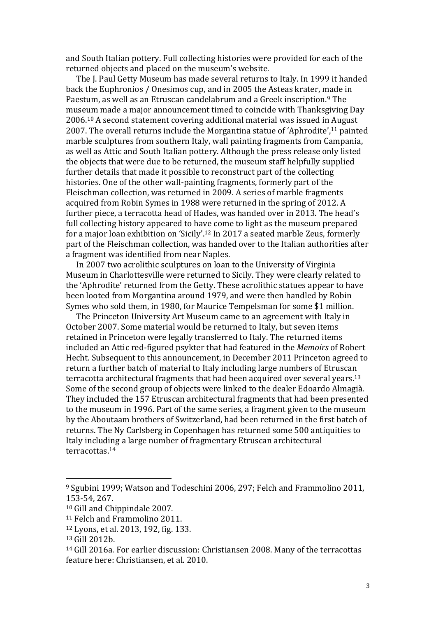and South Italian pottery. Full collecting histories were provided for each of the returned objects and placed on the museum's website.

The J. Paul Getty Museum has made several returns to Italy. In 1999 it handed back the Euphronios / Onesimos cup, and in 2005 the Asteas krater, made in Paestum, as well as an Etruscan candelabrum and a Greek inscription.<sup>9</sup> The museum made a major announcement timed to coincide with Thanksgiving Day 2006.<sup>10</sup> A second statement covering additional material was issued in August 2007. The overall returns include the Morgantina statue of 'Aphrodite',<sup>11</sup> painted marble sculptures from southern Italy, wall painting fragments from Campania, as well as Attic and South Italian pottery. Although the press release only listed the objects that were due to be returned, the museum staff helpfully supplied further details that made it possible to reconstruct part of the collecting histories. One of the other wall-painting fragments, formerly part of the Fleischman collection, was returned in 2009. A series of marble fragments acquired from Robin Symes in 1988 were returned in the spring of 2012. A further piece, a terracotta head of Hades, was handed over in 2013. The head's full collecting history appeared to have come to light as the museum prepared for a major loan exhibition on 'Sicily'.<sup>12</sup> In 2017 a seated marble Zeus, formerly part of the Fleischman collection, was handed over to the Italian authorities after a fragment was identified from near Naples.

In 2007 two acrolithic sculptures on loan to the University of Virginia Museum in Charlottesville were returned to Sicily. They were clearly related to the 'Aphrodite' returned from the Getty. These acrolithic statues appear to have been looted from Morgantina around 1979, and were then handled by Robin Symes who sold them, in 1980, for Maurice Tempelsman for some \$1 million.

The Princeton University Art Museum came to an agreement with Italy in October 2007. Some material would be returned to Italy, but seven items retained in Princeton were legally transferred to Italy. The returned items included an Attic red-figured psykter that had featured in the *Memoirs* of Robert Hecht. Subsequent to this announcement, in December 2011 Princeton agreed to return a further batch of material to Italy including large numbers of Etruscan terracotta architectural fragments that had been acquired over several years.<sup>13</sup> Some of the second group of objects were linked to the dealer Edoardo Almagià. They included the 157 Etruscan architectural fragments that had been presented to the museum in 1996. Part of the same series, a fragment given to the museum by the Aboutaam brothers of Switzerland, had been returned in the first batch of returns. The Ny Carlsberg in Copenhagen has returned some 500 antiquities to Italy including a large number of fragmentary Etruscan architectural terracottas.<sup>14</sup>

<sup>9</sup> Sgubini 1999; Watson and Todeschini 2006, 297; Felch and Frammolino 2011, 153-54, 267.

<sup>10</sup> Gill and Chippindale 2007.

<sup>11</sup> Felch and Frammolino 2011.

<sup>12</sup> Lyons, et al. 2013, 192, fig. 133.

<sup>13</sup> Gill 2012b.

<sup>14</sup> Gill 2016a. For earlier discussion: Christiansen 2008. Many of the terracottas feature here: Christiansen, et al. 2010.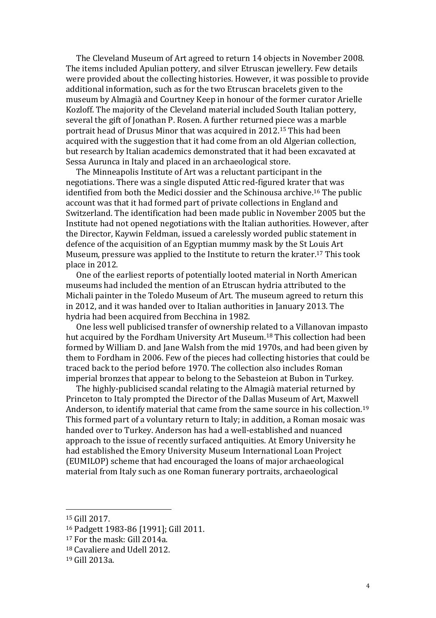The Cleveland Museum of Art agreed to return 14 objects in November 2008. The items included Apulian pottery, and silver Etruscan jewellery. Few details were provided about the collecting histories. However, it was possible to provide additional information, such as for the two Etruscan bracelets given to the museum by Almagià and Courtney Keep in honour of the former curator Arielle Kozloff. The majority of the Cleveland material included South Italian pottery, several the gift of Jonathan P. Rosen. A further returned piece was a marble portrait head of Drusus Minor that was acquired in 2012.<sup>15</sup> This had been acquired with the suggestion that it had come from an old Algerian collection, but research by Italian academics demonstrated that it had been excavated at Sessa Aurunca in Italy and placed in an archaeological store.

The Minneapolis Institute of Art was a reluctant participant in the negotiations. There was a single disputed Attic red-figured krater that was identified from both the Medici dossier and the Schinousa archive.<sup>16</sup> The public account was that it had formed part of private collections in England and Switzerland. The identification had been made public in November 2005 but the Institute had not opened negotiations with the Italian authorities. However, after the Director, Kaywin Feldman, issued a carelessly worded public statement in defence of the acquisition of an Egyptian mummy mask by the St Louis Art Museum, pressure was applied to the Institute to return the krater.<sup>17</sup> This took place in 2012.

One of the earliest reports of potentially looted material in North American museums had included the mention of an Etruscan hydria attributed to the Michali painter in the Toledo Museum of Art. The museum agreed to return this in 2012, and it was handed over to Italian authorities in January 2013. The hydria had been acquired from Becchina in 1982.

One less well publicised transfer of ownership related to a Villanovan impasto hut acquired by the Fordham University Art Museum.<sup>18</sup> This collection had been formed by William D. and Jane Walsh from the mid 1970s, and had been given by them to Fordham in 2006. Few of the pieces had collecting histories that could be traced back to the period before 1970. The collection also includes Roman imperial bronzes that appear to belong to the Sebasteion at Bubon in Turkey.

The highly-publicised scandal relating to the Almagià material returned by Princeton to Italy prompted the Director of the Dallas Museum of Art, Maxwell Anderson, to identify material that came from the same source in his collection.<sup>19</sup> This formed part of a voluntary return to Italy; in addition, a Roman mosaic was handed over to Turkey. Anderson has had a well-established and nuanced approach to the issue of recently surfaced antiquities. At Emory University he had established the Emory University Museum International Loan Project (EUMILOP) scheme that had encouraged the loans of major archaeological material from Italy such as one Roman funerary portraits, archaeological

<sup>15</sup> Gill 2017.

<sup>16</sup> Padgett 1983-86 [1991]; Gill 2011.

<sup>17</sup> For the mask: Gill 2014a.

<sup>18</sup> Cavaliere and Udell 2012.

<sup>19</sup> Gill 2013a.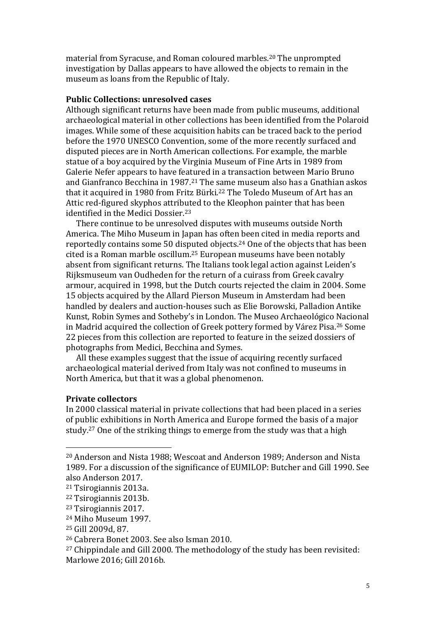material from Syracuse, and Roman coloured marbles.<sup>20</sup> The unprompted investigation by Dallas appears to have allowed the objects to remain in the museum as loans from the Republic of Italy.

#### **Public Collections: unresolved cases**

Although significant returns have been made from public museums, additional archaeological material in other collections has been identified from the Polaroid images. While some of these acquisition habits can be traced back to the period before the 1970 UNESCO Convention, some of the more recently surfaced and disputed pieces are in North American collections. For example, the marble statue of a boy acquired by the Virginia Museum of Fine Arts in 1989 from Galerie Nefer appears to have featured in a transaction between Mario Bruno and Gianfranco Becchina in 1987.<sup>21</sup> The same museum also has a Gnathian askos that it acquired in 1980 from Fritz Bürki.<sup>22</sup> The Toledo Museum of Art has an Attic red-figured skyphos attributed to the Kleophon painter that has been identified in the Medici Dossier.<sup>23</sup>

There continue to be unresolved disputes with museums outside North America. The Miho Museum in Japan has often been cited in media reports and reportedly contains some 50 disputed objects.<sup>24</sup> One of the objects that has been cited is a Roman marble oscillum.<sup>25</sup> European museums have been notably absent from significant returns. The Italians took legal action against Leiden's Rijksmuseum van Oudheden for the return of a cuirass from Greek cavalry armour, acquired in 1998, but the Dutch courts rejected the claim in 2004. Some 15 objects acquired by the Allard Pierson Museum in Amsterdam had been handled by dealers and auction-houses such as Elie Borowski, Palladion Antike Kunst, Robin Symes and Sotheby's in London. The Museo Archaeológico Nacional in Madrid acquired the collection of Greek pottery formed by Várez Pisa.<sup>26</sup> Some 22 pieces from this collection are reported to feature in the seized dossiers of photographs from Medici, Becchina and Symes.

All these examples suggest that the issue of acquiring recently surfaced archaeological material derived from Italy was not confined to museums in North America, but that it was a global phenomenon.

### **Private collectors**

In 2000 classical material in private collections that had been placed in a series of public exhibitions in North America and Europe formed the basis of a major study. <sup>27</sup> One of the striking things to emerge from the study was that a high

<sup>20</sup> Anderson and Nista 1988; Wescoat and Anderson 1989; Anderson and Nista 1989. For a discussion of the significance of EUMILOP: Butcher and Gill 1990. See also Anderson 2017.

<sup>21</sup> Tsirogiannis 2013a.

<sup>22</sup> Tsirogiannis 2013b.

<sup>23</sup> Tsirogiannis 2017.

<sup>24</sup> Miho Museum 1997.

<sup>25</sup> Gill 2009d, 87.

<sup>26</sup> Cabrera Bonet 2003. See also Isman 2010.

<sup>&</sup>lt;sup>27</sup> Chippindale and Gill 2000. The methodology of the study has been revisited: Marlowe 2016; Gill 2016b.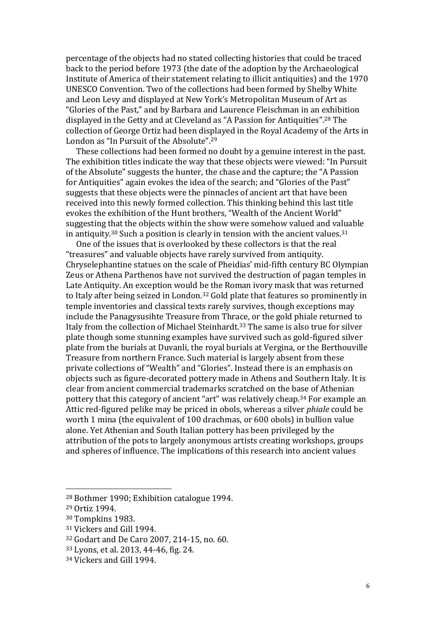percentage of the objects had no stated collecting histories that could be traced back to the period before 1973 (the date of the adoption by the Archaeological Institute of America of their statement relating to illicit antiquities) and the 1970 UNESCO Convention. Two of the collections had been formed by Shelby White and Leon Levy and displayed at New York's Metropolitan Museum of Art as "Glories of the Past," and by Barbara and Laurence Fleischman in an exhibition displayed in the Getty and at Cleveland as "A Passion for Antiquities". <sup>28</sup> The collection of George Ortiz had been displayed in the Royal Academy of the Arts in London as "In Pursuit of the Absolute". 29

These collections had been formed no doubt by a genuine interest in the past. The exhibition titles indicate the way that these objects were viewed: "In Pursuit of the Absolute" suggests the hunter, the chase and the capture; the "A Passion for Antiquities" again evokes the idea of the search; and "Glories of the Past" suggests that these objects were the pinnacles of ancient art that have been received into this newly formed collection. This thinking behind this last title evokes the exhibition of the Hunt brothers, "Wealth of the Ancient World" suggesting that the objects within the show were somehow valued and valuable in antiquity.<sup>30</sup> Such a position is clearly in tension with the ancient values.<sup>31</sup>

One of the issues that is overlooked by these collectors is that the real "treasures" and valuable objects have rarely survived from antiquity. Chryselephantine statues on the scale of Pheidias' mid-fifth century BC Olympian Zeus or Athena Parthenos have not survived the destruction of pagan temples in Late Antiquity. An exception would be the Roman ivory mask that was returned to Italy after being seized in London.<sup>32</sup> Gold plate that features so prominently in temple inventories and classical texts rarely survives, though exceptions may include the Panagysusihte Treasure from Thrace, or the gold phiale returned to Italy from the collection of Michael Steinhardt. <sup>33</sup> The same is also true for silver plate though some stunning examples have survived such as gold-figured silver plate from the burials at Duvanli, the royal burials at Vergina, or the Berthouville Treasure from northern France. Such material is largely absent from these private collections of "Wealth" and "Glories". Instead there is an emphasis on objects such as figure-decorated pottery made in Athens and Southern Italy. It is clear from ancient commercial trademarks scratched on the base of Athenian pottery that this category of ancient "art" was relatively cheap.<sup>34</sup> For example an Attic red-figured pelike may be priced in obols, whereas a silver *phiale* could be worth 1 mina (the equivalent of 100 drachmas, or 600 obols) in bullion value alone. Yet Athenian and South Italian pottery has been privileged by the attribution of the pots to largely anonymous artists creating workshops, groups and spheres of influence. The implications of this research into ancient values

<sup>28</sup> Bothmer 1990; Exhibition catalogue 1994.

<sup>29</sup> Ortiz 1994.

<sup>30</sup> Tompkins 1983.

<sup>31</sup> Vickers and Gill 1994.

<sup>32</sup> Godart and De Caro 2007, 214-15, no. 60.

<sup>33</sup> Lyons, et al. 2013, 44-46, fig. 24.

<sup>34</sup> Vickers and Gill 1994.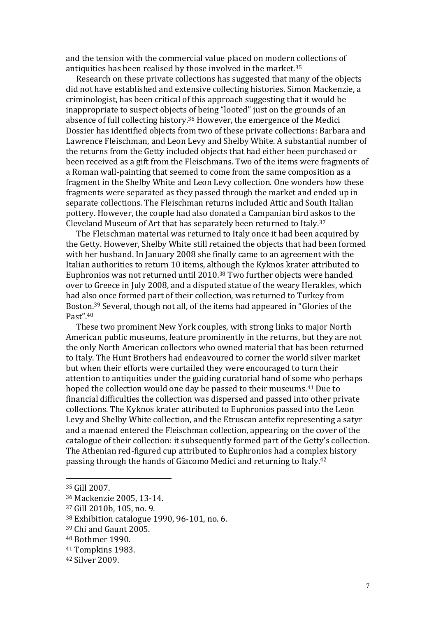and the tension with the commercial value placed on modern collections of antiquities has been realised by those involved in the market.<sup>35</sup>

Research on these private collections has suggested that many of the objects did not have established and extensive collecting histories. Simon Mackenzie, a criminologist, has been critical of this approach suggesting that it would be inappropriate to suspect objects of being "looted" just on the grounds of an absence of full collecting history.<sup>36</sup> However, the emergence of the Medici Dossier has identified objects from two of these private collections: Barbara and Lawrence Fleischman, and Leon Levy and Shelby White. A substantial number of the returns from the Getty included objects that had either been purchased or been received as a gift from the Fleischmans. Two of the items were fragments of a Roman wall-painting that seemed to come from the same composition as a fragment in the Shelby White and Leon Levy collection. One wonders how these fragments were separated as they passed through the market and ended up in separate collections. The Fleischman returns included Attic and South Italian pottery. However, the couple had also donated a Campanian bird askos to the Cleveland Museum of Art that has separately been returned to Italy.<sup>37</sup>

The Fleischman material was returned to Italy once it had been acquired by the Getty. However, Shelby White still retained the objects that had been formed with her husband. In January 2008 she finally came to an agreement with the Italian authorities to return 10 items, although the Kyknos krater attributed to Euphronios was not returned until 2010.<sup>38</sup> Two further objects were handed over to Greece in July 2008, and a disputed statue of the weary Herakles, which had also once formed part of their collection, was returned to Turkey from Boston.<sup>39</sup> Several, though not all, of the items had appeared in "Glories of the Past". 40

These two prominent New York couples, with strong links to major North American public museums, feature prominently in the returns, but they are not the only North American collectors who owned material that has been returned to Italy. The Hunt Brothers had endeavoured to corner the world silver market but when their efforts were curtailed they were encouraged to turn their attention to antiquities under the guiding curatorial hand of some who perhaps hoped the collection would one day be passed to their museums.<sup>41</sup> Due to financial difficulties the collection was dispersed and passed into other private collections. The Kyknos krater attributed to Euphronios passed into the Leon Levy and Shelby White collection, and the Etruscan antefix representing a satyr and a maenad entered the Fleischman collection, appearing on the cover of the catalogue of their collection: it subsequently formed part of the Getty's collection. The Athenian red-figured cup attributed to Euphronios had a complex history passing through the hands of Giacomo Medici and returning to Italy.<sup>42</sup>

<sup>35</sup> Gill 2007.

<sup>36</sup> Mackenzie 2005, 13-14.

<sup>37</sup> Gill 2010b, 105, no. 9.

<sup>38</sup> Exhibition catalogue 1990, 96-101, no. 6.

<sup>39</sup> Chi and Gaunt 2005.

<sup>40</sup> Bothmer 1990.

<sup>41</sup> Tompkins 1983.

<sup>42</sup> Silver 2009.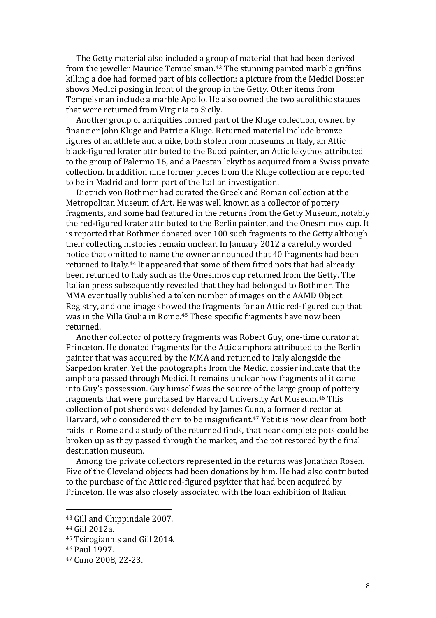The Getty material also included a group of material that had been derived from the jeweller Maurice Tempelsman.<sup>43</sup> The stunning painted marble griffins killing a doe had formed part of his collection: a picture from the Medici Dossier shows Medici posing in front of the group in the Getty. Other items from Tempelsman include a marble Apollo. He also owned the two acrolithic statues that were returned from Virginia to Sicily.

Another group of antiquities formed part of the Kluge collection, owned by financier John Kluge and Patricia Kluge. Returned material include bronze figures of an athlete and a nike, both stolen from museums in Italy, an Attic black-figured krater attributed to the Bucci painter, an Attic lekythos attributed to the group of Palermo 16, and a Paestan lekythos acquired from a Swiss private collection. In addition nine former pieces from the Kluge collection are reported to be in Madrid and form part of the Italian investigation.

Dietrich von Bothmer had curated the Greek and Roman collection at the Metropolitan Museum of Art. He was well known as a collector of pottery fragments, and some had featured in the returns from the Getty Museum, notably the red-figured krater attributed to the Berlin painter, and the Onesmimos cup. It is reported that Bothmer donated over 100 such fragments to the Getty although their collecting histories remain unclear. In January 2012 a carefully worded notice that omitted to name the owner announced that 40 fragments had been returned to Italy.<sup>44</sup> It appeared that some of them fitted pots that had already been returned to Italy such as the Onesimos cup returned from the Getty. The Italian press subsequently revealed that they had belonged to Bothmer. The MMA eventually published a token number of images on the AAMD Object Registry, and one image showed the fragments for an Attic red-figured cup that was in the Villa Giulia in Rome.<sup>45</sup> These specific fragments have now been returned.

Another collector of pottery fragments was Robert Guy, one-time curator at Princeton. He donated fragments for the Attic amphora attributed to the Berlin painter that was acquired by the MMA and returned to Italy alongside the Sarpedon krater. Yet the photographs from the Medici dossier indicate that the amphora passed through Medici. It remains unclear how fragments of it came into Guy's possession. Guy himself was the source of the large group of pottery fragments that were purchased by Harvard University Art Museum.<sup>46</sup> This collection of pot sherds was defended by James Cuno, a former director at Harvard, who considered them to be insignificant.<sup>47</sup> Yet it is now clear from both raids in Rome and a study of the returned finds, that near complete pots could be broken up as they passed through the market, and the pot restored by the final destination museum.

Among the private collectors represented in the returns was Jonathan Rosen. Five of the Cleveland objects had been donations by him. He had also contributed to the purchase of the Attic red-figured psykter that had been acquired by Princeton. He was also closely associated with the loan exhibition of Italian

<sup>43</sup> Gill and Chippindale 2007.

<sup>44</sup> Gill 2012a.

<sup>45</sup> Tsirogiannis and Gill 2014.

<sup>46</sup> Paul 1997.

<sup>47</sup> Cuno 2008, 22-23.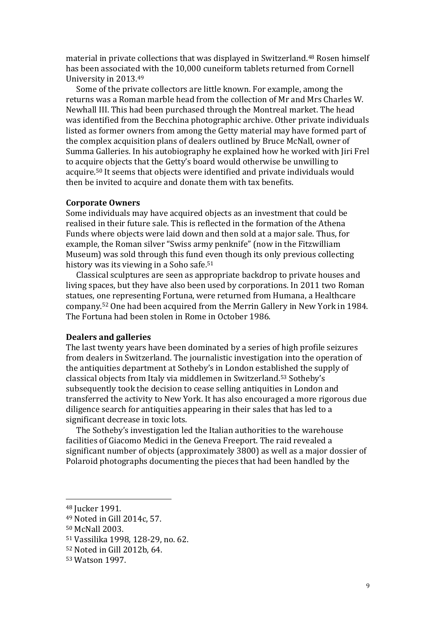material in private collections that was displayed in Switzerland.<sup>48</sup> Rosen himself has been associated with the 10,000 cuneiform tablets returned from Cornell University in 2013.<sup>49</sup>

Some of the private collectors are little known. For example, among the returns was a Roman marble head from the collection of Mr and Mrs Charles W. Newhall III. This had been purchased through the Montreal market. The head was identified from the Becchina photographic archive. Other private individuals listed as former owners from among the Getty material may have formed part of the complex acquisition plans of dealers outlined by Bruce McNall, owner of Summa Galleries. In his autobiography he explained how he worked with Jiri Frel to acquire objects that the Getty's board would otherwise be unwilling to acquire.<sup>50</sup> It seems that objects were identified and private individuals would then be invited to acquire and donate them with tax benefits.

#### **Corporate Owners**

Some individuals may have acquired objects as an investment that could be realised in their future sale. This is reflected in the formation of the Athena Funds where objects were laid down and then sold at a major sale. Thus, for example, the Roman silver "Swiss army penknife" (now in the Fitzwilliam Museum) was sold through this fund even though its only previous collecting history was its viewing in a Soho safe.<sup>51</sup>

Classical sculptures are seen as appropriate backdrop to private houses and living spaces, but they have also been used by corporations. In 2011 two Roman statues, one representing Fortuna, were returned from Humana, a Healthcare company.<sup>52</sup> One had been acquired from the Merrin Gallery in New York in 1984. The Fortuna had been stolen in Rome in October 1986.

## **Dealers and galleries**

The last twenty years have been dominated by a series of high profile seizures from dealers in Switzerland. The journalistic investigation into the operation of the antiquities department at Sotheby's in London established the supply of classical objects from Italy via middlemen in Switzerland.<sup>53</sup> Sotheby's subsequently took the decision to cease selling antiquities in London and transferred the activity to New York. It has also encouraged a more rigorous due diligence search for antiquities appearing in their sales that has led to a significant decrease in toxic lots.

The Sotheby's investigation led the Italian authorities to the warehouse facilities of Giacomo Medici in the Geneva Freeport. The raid revealed a significant number of objects (approximately 3800) as well as a major dossier of Polaroid photographs documenting the pieces that had been handled by the

<sup>48</sup> Jucker 1991.

<sup>49</sup> Noted in Gill 2014c, 57.

<sup>50</sup> McNall 2003.

<sup>51</sup> Vassilika 1998, 128-29, no. 62.

<sup>52</sup> Noted in Gill 2012b, 64.

<sup>53</sup> Watson 1997.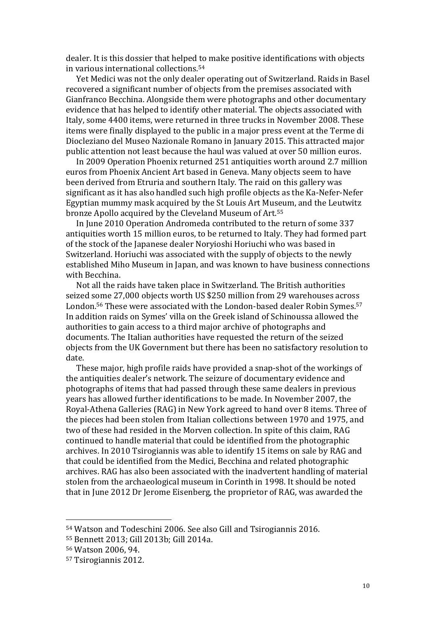dealer. It is this dossier that helped to make positive identifications with objects in various international collections.<sup>54</sup>

Yet Medici was not the only dealer operating out of Switzerland. Raids in Basel recovered a significant number of objects from the premises associated with Gianfranco Becchina. Alongside them were photographs and other documentary evidence that has helped to identify other material. The objects associated with Italy, some 4400 items, were returned in three trucks in November 2008. These items were finally displayed to the public in a major press event at the Terme di Diocleziano del Museo Nazionale Romano in January 2015. This attracted major public attention not least because the haul was valued at over 50 million euros.

In 2009 Operation Phoenix returned 251 antiquities worth around 2.7 million euros from Phoenix Ancient Art based in Geneva. Many objects seem to have been derived from Etruria and southern Italy. The raid on this gallery was significant as it has also handled such high profile objects as the Ka-Nefer-Nefer Egyptian mummy mask acquired by the St Louis Art Museum, and the Leutwitz bronze Apollo acquired by the Cleveland Museum of Art.<sup>55</sup>

In June 2010 Operation Andromeda contributed to the return of some 337 antiquities worth 15 million euros, to be returned to Italy. They had formed part of the stock of the Japanese dealer Noryioshi Horiuchi who was based in Switzerland. Horiuchi was associated with the supply of objects to the newly established Miho Museum in Japan, and was known to have business connections with Becchina.

Not all the raids have taken place in Switzerland. The British authorities seized some 27,000 objects worth US \$250 million from 29 warehouses across London.<sup>56</sup> These were associated with the London-based dealer Robin Symes.<sup>57</sup> In addition raids on Symes' villa on the Greek island of Schinoussa allowed the authorities to gain access to a third major archive of photographs and documents. The Italian authorities have requested the return of the seized objects from the UK Government but there has been no satisfactory resolution to date.

These major, high profile raids have provided a snap-shot of the workings of the antiquities dealer's network. The seizure of documentary evidence and photographs of items that had passed through these same dealers in previous years has allowed further identifications to be made. In November 2007, the Royal-Athena Galleries (RAG) in New York agreed to hand over 8 items. Three of the pieces had been stolen from Italian collections between 1970 and 1975, and two of these had resided in the Morven collection. In spite of this claim, RAG continued to handle material that could be identified from the photographic archives. In 2010 Tsirogiannis was able to identify 15 items on sale by RAG and that could be identified from the Medici, Becchina and related photographic archives. RAG has also been associated with the inadvertent handling of material stolen from the archaeological museum in Corinth in 1998. It should be noted that in June 2012 Dr Jerome Eisenberg, the proprietor of RAG, was awarded the

<sup>54</sup> Watson and Todeschini 2006. See also Gill and Tsirogiannis 2016.

<sup>55</sup> Bennett 2013; Gill 2013b; Gill 2014a.

<sup>56</sup> Watson 2006, 94.

<sup>57</sup> Tsirogiannis 2012.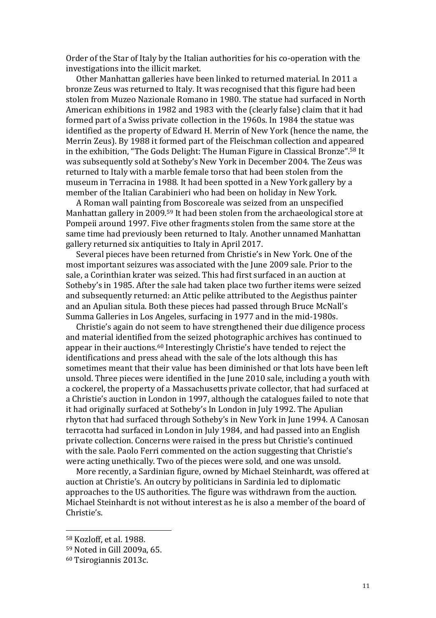Order of the Star of Italy by the Italian authorities for his co-operation with the investigations into the illicit market.

Other Manhattan galleries have been linked to returned material. In 2011 a bronze Zeus was returned to Italy. It was recognised that this figure had been stolen from Muzeo Nazionale Romano in 1980. The statue had surfaced in North American exhibitions in 1982 and 1983 with the (clearly false) claim that it had formed part of a Swiss private collection in the 1960s. In 1984 the statue was identified as the property of Edward H. Merrin of New York (hence the name, the Merrin Zeus). By 1988 it formed part of the Fleischman collection and appeared in the exhibition, "The Gods Delight: The Human Figure in Classical Bronze". <sup>58</sup> It was subsequently sold at Sotheby's New York in December 2004. The Zeus was returned to Italy with a marble female torso that had been stolen from the museum in Terracina in 1988. It had been spotted in a New York gallery by a member of the Italian Carabinieri who had been on holiday in New York.

A Roman wall painting from Boscoreale was seized from an unspecified Manhattan gallery in 2009.<sup>59</sup> It had been stolen from the archaeological store at Pompeii around 1997. Five other fragments stolen from the same store at the same time had previously been returned to Italy. Another unnamed Manhattan gallery returned six antiquities to Italy in April 2017.

Several pieces have been returned from Christie's in New York. One of the most important seizures was associated with the June 2009 sale. Prior to the sale, a Corinthian krater was seized. This had first surfaced in an auction at Sotheby's in 1985. After the sale had taken place two further items were seized and subsequently returned: an Attic pelike attributed to the Aegisthus painter and an Apulian situla. Both these pieces had passed through Bruce McNall's Summa Galleries in Los Angeles, surfacing in 1977 and in the mid-1980s.

Christie's again do not seem to have strengthened their due diligence process and material identified from the seized photographic archives has continued to appear in their auctions.<sup>60</sup> Interestingly Christie's have tended to reject the identifications and press ahead with the sale of the lots although this has sometimes meant that their value has been diminished or that lots have been left unsold. Three pieces were identified in the June 2010 sale, including a youth with a cockerel, the property of a Massachusetts private collector, that had surfaced at a Christie's auction in London in 1997, although the catalogues failed to note that it had originally surfaced at Sotheby's In London in July 1992. The Apulian rhyton that had surfaced through Sotheby's in New York in June 1994. A Canosan terracotta had surfaced in London in July 1984, and had passed into an English private collection. Concerns were raised in the press but Christie's continued with the sale. Paolo Ferri commented on the action suggesting that Christie's were acting unethically. Two of the pieces were sold, and one was unsold.

More recently, a Sardinian figure, owned by Michael Steinhardt, was offered at auction at Christie's. An outcry by politicians in Sardinia led to diplomatic approaches to the US authorities. The figure was withdrawn from the auction. Michael Steinhardt is not without interest as he is also a member of the board of Christie's.

<sup>58</sup> Kozloff, et al. 1988.

<sup>59</sup> Noted in Gill 2009a, 65.

<sup>60</sup> Tsirogiannis 2013c.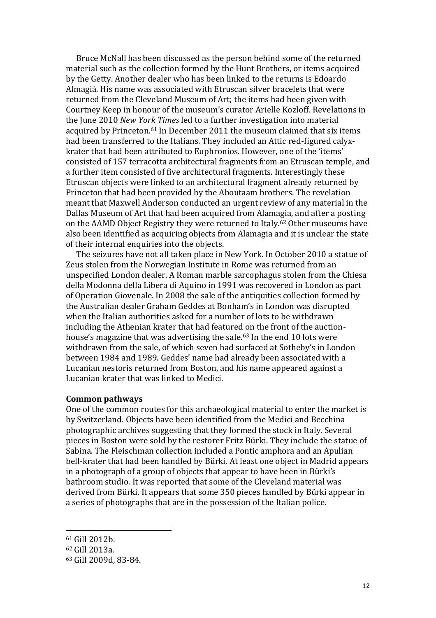Bruce McNall has been discussed as the person behind some of the returned material such as the collection formed by the Hunt Brothers, or items acquired by the Getty. Another dealer who has been linked to the returns is Edoardo Almagià. His name was associated with Etruscan silver bracelets that were returned from the Cleveland Museum of Art; the items had been given with Courtney Keep in honour of the museum's curator Arielle Kozloff. Revelations in the June 2010 *New York Times* led to a further investigation into material acquired by Princeton.<sup>61</sup> In December 2011 the museum claimed that six items had been transferred to the Italians. They included an Attic red-figured calyxkrater that had been attributed to Euphronios. However, one of the 'items' consisted of 157 terracotta architectural fragments from an Etruscan temple, and a further item consisted of five architectural fragments. Interestingly these Etruscan objects were linked to an architectural fragment already returned by Princeton that had been provided by the Aboutaam brothers. The revelation meant that Maxwell Anderson conducted an urgent review of any material in the Dallas Museum of Art that had been acquired from Alamagia, and after a posting on the AAMD Object Registry they were returned to Italy.<sup>62</sup> Other museums have also been identified as acquiring objects from Alamagia and it is unclear the state of their internal enquiries into the objects.

The seizures have not all taken place in New York. In October 2010 a statue of Zeus stolen from the Norwegian Institute in Rome was returned from an unspecified London dealer. A Roman marble sarcophagus stolen from the Chiesa della Modonna della Libera di Aquino in 1991 was recovered in London as part of Operation Giovenale. In 2008 the sale of the antiquities collection formed by the Australian dealer Graham Geddes at Bonham's in London was disrupted when the Italian authorities asked for a number of lots to be withdrawn including the Athenian krater that had featured on the front of the auctionhouse's magazine that was advertising the sale.<sup>63</sup> In the end 10 lots were withdrawn from the sale, of which seven had surfaced at Sotheby's in London between 1984 and 1989. Geddes' name had already been associated with a Lucanian nestoris returned from Boston, and his name appeared against a Lucanian krater that was linked to Medici.

#### **Common pathways**

One of the common routes for this archaeological material to enter the market is by Switzerland. Objects have been identified from the Medici and Becchina photographic archives suggesting that they formed the stock in Italy. Several pieces in Boston were sold by the restorer Fritz Bürki. They include the statue of Sabina. The Fleischman collection included a Pontic amphora and an Apulian bell-krater that had been handled by Bürki. At least one object in Madrid appears in a photograph of a group of objects that appear to have been in Bürki's bathroom studio. It was reported that some of the Cleveland material was derived from Bürki. It appears that some 350 pieces handled by Bürki appear in a series of photographs that are in the possession of the Italian police.

<sup>61</sup> Gill 2012b.

<sup>62</sup> Gill 2013a.

<sup>63</sup> Gill 2009d, 83-84.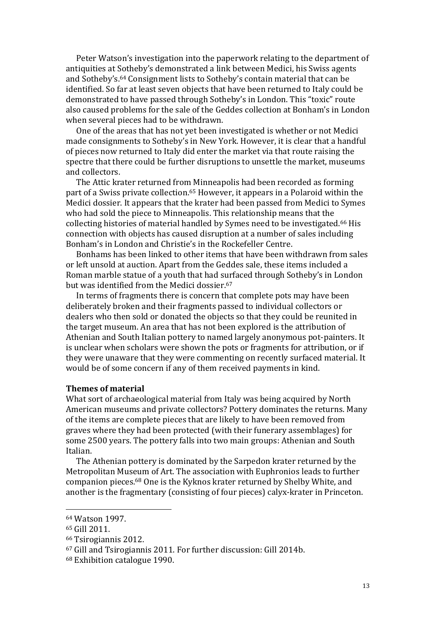Peter Watson's investigation into the paperwork relating to the department of antiquities at Sotheby's demonstrated a link between Medici, his Swiss agents and Sotheby's.<sup>64</sup> Consignment lists to Sotheby's contain material that can be identified. So far at least seven objects that have been returned to Italy could be demonstrated to have passed through Sotheby's in London. This "toxic" route also caused problems for the sale of the Geddes collection at Bonham's in London when several pieces had to be withdrawn.

One of the areas that has not yet been investigated is whether or not Medici made consignments to Sotheby's in New York. However, it is clear that a handful of pieces now returned to Italy did enter the market via that route raising the spectre that there could be further disruptions to unsettle the market, museums and collectors.

The Attic krater returned from Minneapolis had been recorded as forming part of a Swiss private collection.<sup>65</sup> However, it appears in a Polaroid within the Medici dossier. It appears that the krater had been passed from Medici to Symes who had sold the piece to Minneapolis. This relationship means that the collecting histories of material handled by Symes need to be investigated.<sup>66</sup> His connection with objects has caused disruption at a number of sales including Bonham's in London and Christie's in the Rockefeller Centre.

Bonhams has been linked to other items that have been withdrawn from sales or left unsold at auction. Apart from the Geddes sale, these items included a Roman marble statue of a youth that had surfaced through Sotheby's in London but was identified from the Medici dossier.<sup>67</sup>

In terms of fragments there is concern that complete pots may have been deliberately broken and their fragments passed to individual collectors or dealers who then sold or donated the objects so that they could be reunited in the target museum. An area that has not been explored is the attribution of Athenian and South Italian pottery to named largely anonymous pot-painters. It is unclear when scholars were shown the pots or fragments for attribution, or if they were unaware that they were commenting on recently surfaced material. It would be of some concern if any of them received payments in kind.

#### **Themes of material**

What sort of archaeological material from Italy was being acquired by North American museums and private collectors? Pottery dominates the returns. Many of the items are complete pieces that are likely to have been removed from graves where they had been protected (with their funerary assemblages) for some 2500 years. The pottery falls into two main groups: Athenian and South Italian.

The Athenian pottery is dominated by the Sarpedon krater returned by the Metropolitan Museum of Art. The association with Euphronios leads to further companion pieces.<sup>68</sup> One is the Kyknos krater returned by Shelby White, and another is the fragmentary (consisting of four pieces) calyx-krater in Princeton.

<sup>64</sup> Watson 1997.

<sup>65</sup> Gill 2011.

<sup>66</sup> Tsirogiannis 2012.

<sup>67</sup> Gill and Tsirogiannis 2011. For further discussion: Gill 2014b.

<sup>68</sup> Exhibition catalogue 1990.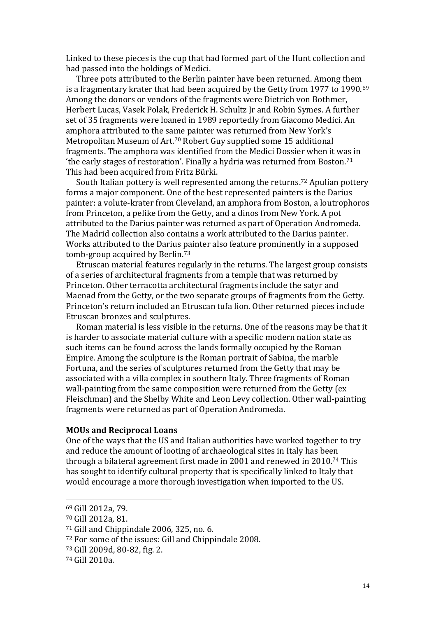Linked to these pieces is the cup that had formed part of the Hunt collection and had passed into the holdings of Medici.

Three pots attributed to the Berlin painter have been returned. Among them is a fragmentary krater that had been acquired by the Getty from 1977 to 1990.<sup>69</sup> Among the donors or vendors of the fragments were Dietrich von Bothmer, Herbert Lucas, Vasek Polak, Frederick H. Schultz Jr and Robin Symes. A further set of 35 fragments were loaned in 1989 reportedly from Giacomo Medici. An amphora attributed to the same painter was returned from New York's Metropolitan Museum of Art.<sup>70</sup> Robert Guy supplied some 15 additional fragments. The amphora was identified from the Medici Dossier when it was in 'the early stages of restoration'. Finally a hydria was returned from Boston.<sup>71</sup> This had been acquired from Fritz Bürki.

South Italian pottery is well represented among the returns.<sup>72</sup> Apulian pottery forms a major component. One of the best represented painters is the Darius painter: a volute-krater from Cleveland, an amphora from Boston, a loutrophoros from Princeton, a pelike from the Getty, and a dinos from New York. A pot attributed to the Darius painter was returned as part of Operation Andromeda. The Madrid collection also contains a work attributed to the Darius painter. Works attributed to the Darius painter also feature prominently in a supposed tomb-group acquired by Berlin.<sup>73</sup>

Etruscan material features regularly in the returns. The largest group consists of a series of architectural fragments from a temple that was returned by Princeton. Other terracotta architectural fragments include the satyr and Maenad from the Getty, or the two separate groups of fragments from the Getty. Princeton's return included an Etruscan tufa lion. Other returned pieces include Etruscan bronzes and sculptures.

Roman material is less visible in the returns. One of the reasons may be that it is harder to associate material culture with a specific modern nation state as such items can be found across the lands formally occupied by the Roman Empire. Among the sculpture is the Roman portrait of Sabina, the marble Fortuna, and the series of sculptures returned from the Getty that may be associated with a villa complex in southern Italy. Three fragments of Roman wall-painting from the same composition were returned from the Getty (ex Fleischman) and the Shelby White and Leon Levy collection. Other wall-painting fragments were returned as part of Operation Andromeda.

## **MOUs and Reciprocal Loans**

One of the ways that the US and Italian authorities have worked together to try and reduce the amount of looting of archaeological sites in Italy has been through a bilateral agreement first made in 2001 and renewed in 2010. <sup>74</sup> This has sought to identify cultural property that is specifically linked to Italy that would encourage a more thorough investigation when imported to the US.

<sup>69</sup> Gill 2012a, 79.

<sup>70</sup> Gill 2012a, 81.

<sup>71</sup> Gill and Chippindale 2006, 325, no. 6.

<sup>72</sup> For some of the issues: Gill and Chippindale 2008.

<sup>73</sup> Gill 2009d, 80-82, fig. 2.

<sup>74</sup> Gill 2010a.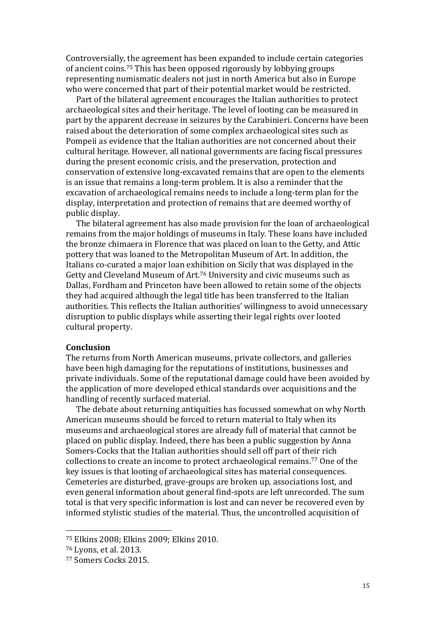Controversially, the agreement has been expanded to include certain categories of ancient coins.<sup>75</sup> This has been opposed rigorously by lobbying groups representing numismatic dealers not just in north America but also in Europe who were concerned that part of their potential market would be restricted.

Part of the bilateral agreement encourages the Italian authorities to protect archaeological sites and their heritage. The level of looting can be measured in part by the apparent decrease in seizures by the Carabinieri. Concerns have been raised about the deterioration of some complex archaeological sites such as Pompeii as evidence that the Italian authorities are not concerned about their cultural heritage. However, all national governments are facing fiscal pressures during the present economic crisis, and the preservation, protection and conservation of extensive long-excavated remains that are open to the elements is an issue that remains a long-term problem. It is also a reminder that the excavation of archaeological remains needs to include a long-term plan for the display, interpretation and protection of remains that are deemed worthy of public display.

The bilateral agreement has also made provision for the loan of archaeological remains from the major holdings of museums in Italy. These loans have included the bronze chimaera in Florence that was placed on loan to the Getty, and Attic pottery that was loaned to the Metropolitan Museum of Art. In addition, the Italians co-curated a major loan exhibition on Sicily that was displayed in the Getty and Cleveland Museum of Art.<sup>76</sup> University and civic museums such as Dallas, Fordham and Princeton have been allowed to retain some of the objects they had acquired although the legal title has been transferred to the Italian authorities. This reflects the Italian authorities' willingness to avoid unnecessary disruption to public displays while asserting their legal rights over looted cultural property.

#### **Conclusion**

The returns from North American museums, private collectors, and galleries have been high damaging for the reputations of institutions, businesses and private individuals. Some of the reputational damage could have been avoided by the application of more developed ethical standards over acquisitions and the handling of recently surfaced material.

The debate about returning antiquities has focussed somewhat on why North American museums should be forced to return material to Italy when its museums and archaeological stores are already full of material that cannot be placed on public display. Indeed, there has been a public suggestion by Anna Somers-Cocks that the Italian authorities should sell off part of their rich collections to create an income to protect archaeological remains.<sup>77</sup> One of the key issues is that looting of archaeological sites has material consequences. Cemeteries are disturbed, grave-groups are broken up, associations lost, and even general information about general find-spots are left unrecorded. The sum total is that very specific information is lost and can never be recovered even by informed stylistic studies of the material. Thus, the uncontrolled acquisition of

<sup>75</sup> Elkins 2008; Elkins 2009; Elkins 2010.

<sup>76</sup> Lyons, et al. 2013.

<sup>77</sup> Somers Cocks 2015.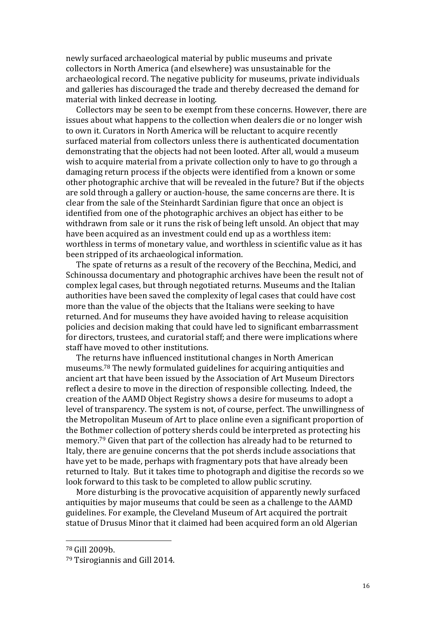newly surfaced archaeological material by public museums and private collectors in North America (and elsewhere) was unsustainable for the archaeological record. The negative publicity for museums, private individuals and galleries has discouraged the trade and thereby decreased the demand for material with linked decrease in looting.

Collectors may be seen to be exempt from these concerns. However, there are issues about what happens to the collection when dealers die or no longer wish to own it. Curators in North America will be reluctant to acquire recently surfaced material from collectors unless there is authenticated documentation demonstrating that the objects had not been looted. After all, would a museum wish to acquire material from a private collection only to have to go through a damaging return process if the objects were identified from a known or some other photographic archive that will be revealed in the future? But if the objects are sold through a gallery or auction-house, the same concerns are there. It is clear from the sale of the Steinhardt Sardinian figure that once an object is identified from one of the photographic archives an object has either to be withdrawn from sale or it runs the risk of being left unsold. An object that may have been acquired as an investment could end up as a worthless item: worthless in terms of monetary value, and worthless in scientific value as it has been stripped of its archaeological information.

The spate of returns as a result of the recovery of the Becchina, Medici, and Schinoussa documentary and photographic archives have been the result not of complex legal cases, but through negotiated returns. Museums and the Italian authorities have been saved the complexity of legal cases that could have cost more than the value of the objects that the Italians were seeking to have returned. And for museums they have avoided having to release acquisition policies and decision making that could have led to significant embarrassment for directors, trustees, and curatorial staff; and there were implications where staff have moved to other institutions.

The returns have influenced institutional changes in North American museums.<sup>78</sup> The newly formulated guidelines for acquiring antiquities and ancient art that have been issued by the Association of Art Museum Directors reflect a desire to move in the direction of responsible collecting. Indeed, the creation of the AAMD Object Registry shows a desire for museums to adopt a level of transparency. The system is not, of course, perfect. The unwillingness of the Metropolitan Museum of Art to place online even a significant proportion of the Bothmer collection of pottery sherds could be interpreted as protecting his memory.<sup>79</sup> Given that part of the collection has already had to be returned to Italy, there are genuine concerns that the pot sherds include associations that have yet to be made, perhaps with fragmentary pots that have already been returned to Italy. But it takes time to photograph and digitise the records so we look forward to this task to be completed to allow public scrutiny.

More disturbing is the provocative acquisition of apparently newly surfaced antiquities by major museums that could be seen as a challenge to the AAMD guidelines. For example, the Cleveland Museum of Art acquired the portrait statue of Drusus Minor that it claimed had been acquired form an old Algerian

<sup>78</sup> Gill 2009b.

<sup>79</sup> Tsirogiannis and Gill 2014.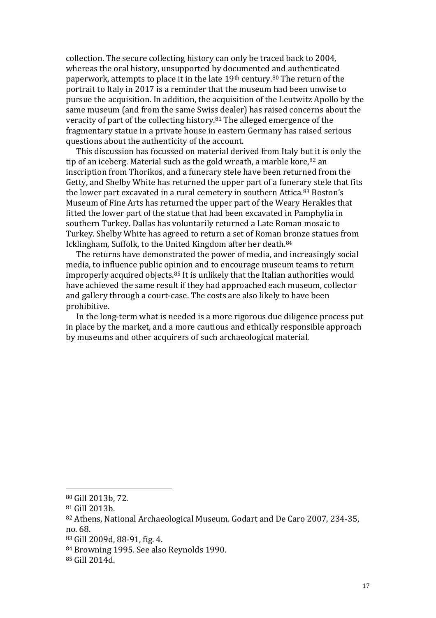collection. The secure collecting history can only be traced back to 2004, whereas the oral history, unsupported by documented and authenticated paperwork, attempts to place it in the late 19<sup>th</sup> century.<sup>80</sup> The return of the portrait to Italy in 2017 is a reminder that the museum had been unwise to pursue the acquisition. In addition, the acquisition of the Leutwitz Apollo by the same museum (and from the same Swiss dealer) has raised concerns about the veracity of part of the collecting history.<sup>81</sup> The alleged emergence of the fragmentary statue in a private house in eastern Germany has raised serious questions about the authenticity of the account.

This discussion has focussed on material derived from Italy but it is only the tip of an iceberg. Material such as the gold wreath, a marble kore, 82 an inscription from Thorikos, and a funerary stele have been returned from the Getty, and Shelby White has returned the upper part of a funerary stele that fits the lower part excavated in a rural cemetery in southern Attica.<sup>83</sup> Boston's Museum of Fine Arts has returned the upper part of the Weary Herakles that fitted the lower part of the statue that had been excavated in Pamphylia in southern Turkey. Dallas has voluntarily returned a Late Roman mosaic to Turkey. Shelby White has agreed to return a set of Roman bronze statues from Icklingham, Suffolk, to the United Kingdom after her death.<sup>84</sup>

The returns have demonstrated the power of media, and increasingly social media, to influence public opinion and to encourage museum teams to return improperly acquired objects.<sup>85</sup> It is unlikely that the Italian authorities would have achieved the same result if they had approached each museum, collector and gallery through a court-case. The costs are also likely to have been prohibitive.

In the long-term what is needed is a more rigorous due diligence process put in place by the market, and a more cautious and ethically responsible approach by museums and other acquirers of such archaeological material.

<sup>80</sup> Gill 2013b, 72.

<sup>81</sup> Gill 2013b.

<sup>82</sup> Athens, National Archaeological Museum. Godart and De Caro 2007, 234-35, no. 68.

<sup>83</sup> Gill 2009d, 88-91, fig. 4.

<sup>84</sup> Browning 1995. See also Reynolds 1990.

<sup>85</sup> Gill 2014d.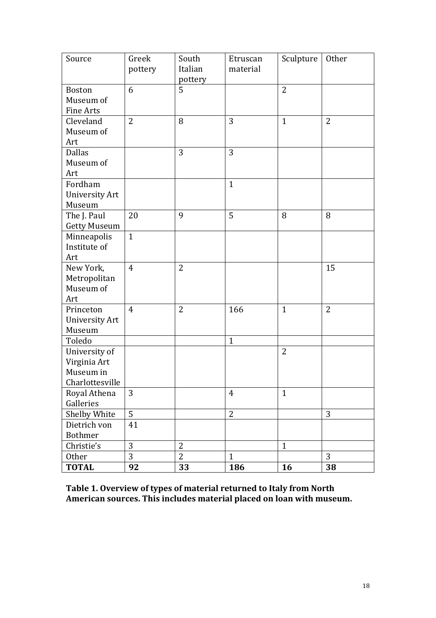| Source              | Greek<br>pottery | South<br>Italian<br>pottery | Etruscan<br>material | Sculpture      | Other          |
|---------------------|------------------|-----------------------------|----------------------|----------------|----------------|
| <b>Boston</b>       | 6                | 5                           |                      | $\overline{2}$ |                |
| Museum of           |                  |                             |                      |                |                |
| <b>Fine Arts</b>    |                  |                             |                      |                |                |
| Cleveland           | $\overline{2}$   | 8                           | 3                    | $\mathbf{1}$   | $\overline{2}$ |
| Museum of           |                  |                             |                      |                |                |
| Art                 |                  |                             |                      |                |                |
| <b>Dallas</b>       |                  | 3                           | 3                    |                |                |
| Museum of           |                  |                             |                      |                |                |
| Art                 |                  |                             |                      |                |                |
| Fordham             |                  |                             | $\mathbf{1}$         |                |                |
| University Art      |                  |                             |                      |                |                |
| Museum              |                  |                             |                      |                |                |
| The J. Paul         | 20               | 9                           | 5                    | 8              | 8              |
| <b>Getty Museum</b> |                  |                             |                      |                |                |
| Minneapolis         | $\mathbf{1}$     |                             |                      |                |                |
| Institute of        |                  |                             |                      |                |                |
| Art                 |                  |                             |                      |                |                |
| New York,           | $\overline{4}$   | $\overline{2}$              |                      |                | 15             |
| Metropolitan        |                  |                             |                      |                |                |
| Museum of           |                  |                             |                      |                |                |
| Art                 |                  |                             |                      |                |                |
| Princeton           | $\overline{4}$   | 2                           | 166                  | $\mathbf{1}$   | $\overline{2}$ |
| University Art      |                  |                             |                      |                |                |
| Museum              |                  |                             |                      |                |                |
| Toledo              |                  |                             | $\mathbf{1}$         |                |                |
| University of       |                  |                             |                      | $\overline{2}$ |                |
| Virginia Art        |                  |                             |                      |                |                |
| Museum in           |                  |                             |                      |                |                |
| Charlottesville     |                  |                             |                      |                |                |
| Royal Athena        | 3                |                             | $\overline{4}$       | $\mathbf{1}$   |                |
| Galleries           |                  |                             |                      |                |                |
| Shelby White        | 5                |                             | $\overline{2}$       |                | 3              |
| Dietrich von        | 41               |                             |                      |                |                |
| Bothmer             |                  |                             |                      |                |                |
| Christie's          | 3                | $\overline{2}$              |                      | $\mathbf{1}$   |                |
| Other               | 3                | $\overline{2}$              | $\mathbf{1}$         |                | 3              |
| <b>TOTAL</b>        | 92               | 33                          | 186                  | 16             | 38             |

**Table 1. Overview of types of material returned to Italy from North American sources. This includes material placed on loan with museum.**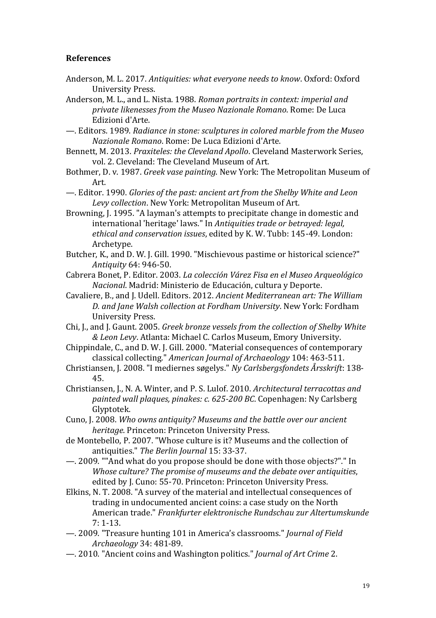# **References**

- Anderson, M. L. 2017. *Antiquities: what everyone needs to know*. Oxford: Oxford University Press.
- Anderson, M. L., and L. Nista. 1988. *Roman portraits in context: imperial and private likenesses from the Museo Nazionale Romano*. Rome: De Luca Edizioni d'Arte.
- —. Editors. 1989. *Radiance in stone: sculptures in colored marble from the Museo Nazionale Romano*. Rome: De Luca Edizioni d'Arte.
- Bennett, M. 2013. *Praxiteles: the Cleveland Apollo*. Cleveland Masterwork Series, vol. 2. Cleveland: The Cleveland Museum of Art.
- Bothmer, D. v. 1987. *Greek vase painting*. New York: The Metropolitan Museum of Art.
- —. Editor. 1990. *Glories of the past: ancient art from the Shelby White and Leon Levy collection*. New York: Metropolitan Museum of Art.
- Browning, J. 1995. "A layman's attempts to precipitate change in domestic and international 'heritage' laws." In *Antiquities trade or betrayed: legal, ethical and conservation issues*, edited by K. W. Tubb: 145-49. London: Archetype.
- Butcher, K., and D. W. J. Gill. 1990. "Mischievous pastime or historical science?" *Antiquity* 64: 946-50.
- Cabrera Bonet, P. Editor. 2003. *La colección Várez Fisa en el Museo Arqueológico Nacional*. Madrid: Ministerio de Educación, cultura y Deporte.
- Cavaliere, B., and J. Udell. Editors. 2012. *Ancient Mediterranean art: The William D. and Jane Walsh collection at Fordham University*. New York: Fordham University Press.
- Chi, J., and J. Gaunt. 2005. *Greek bronze vessels from the collection of Shelby White & Leon Levy*. Atlanta: Michael C. Carlos Museum, Emory University.
- Chippindale, C., and D. W. J. Gill. 2000. "Material consequences of contemporary classical collecting." *American Journal of Archaeology* 104: 463-511.
- Christiansen, J. 2008. "I mediernes søgelys." *Ny Carlsbergsfondets Årsskrift*: 138- 45.
- Christiansen, J., N. A. Winter, and P. S. Lulof. 2010. *Architectural terracottas and painted wall plaques, pinakes: c. 625-200 BC*. Copenhagen: Ny Carlsberg Glyptotek.
- Cuno, J. 2008. *Who owns antiquity? Museums and the battle over our ancient heritage*. Princeton: Princeton University Press.
- de Montebello, P. 2007. "Whose culture is it? Museums and the collection of antiquities." *The Berlin Journal* 15: 33-37.
- —. 2009. ""And what do you propose should be done with those objects?"." In *Whose culture? The promise of museums and the debate over antiquities*, edited by J. Cuno: 55-70. Princeton: Princeton University Press.
- Elkins, N. T. 2008. "A survey of the material and intellectual consequences of trading in undocumented ancient coins: a case study on the North American trade." *Frankfurter elektronische Rundschau zur Altertumskunde* 7: 1-13.
- —. 2009. "Treasure hunting 101 in America's classrooms." *Journal of Field Archaeology* 34: 481-89.
- —. 2010. "Ancient coins and Washington politics." *Journal of Art Crime* 2.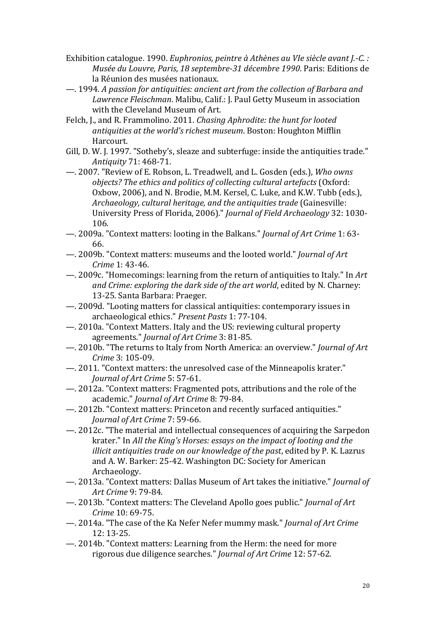- Exhibition catalogue. 1990. *Euphronios, peintre à Athènes au VIe siècle avant J.-C. : Musée du Louvre, Paris, 18 septembre-31 décembre 1990*. Paris: Editions de la Réunion des musées nationaux.
- —. 1994. *A passion for antiquities: ancient art from the collection of Barbara and Lawrence Fleischman*. Malibu, Calif.: J. Paul Getty Museum in association with the Cleveland Museum of Art.
- Felch, J., and R. Frammolino. 2011. *Chasing Aphrodite: the hunt for looted antiquities at the world's richest museum*. Boston: Houghton Mifflin Harcourt.
- Gill, D. W. J. 1997. "Sotheby's, sleaze and subterfuge: inside the antiquities trade." *Antiquity* 71: 468-71.
- —. 2007. "Review of E. Robson, L. Treadwell, and L. Gosden (eds.), *Who owns objects? The ethics and politics of collecting cultural artefacts* (Oxford: Oxbow, 2006), and N. Brodie, M.M. Kersel, C. Luke, and K.W. Tubb (eds.), *Archaeology, cultural heritage, and the antiquities trade* (Gainesville: University Press of Florida, 2006)." *Journal of Field Archaeology* 32: 1030- 106.
- —. 2009a. "Context matters: looting in the Balkans." *Journal of Art Crime* 1: 63- 66.
- —. 2009b. "Context matters: museums and the looted world." *Journal of Art Crime* 1: 43-46.
- —. 2009c. "Homecomings: learning from the return of antiquities to Italy." In *Art and Crime: exploring the dark side of the art world*, edited by N. Charney: 13-25. Santa Barbara: Praeger.
- —. 2009d. "Looting matters for classical antiquities: contemporary issues in archaeological ethics." *Present Pasts* 1: 77-104.
- —. 2010a. "Context Matters. Italy and the US: reviewing cultural property agreements." *Journal of Art Crime* 3: 81-85.
- —. 2010b. "The returns to Italy from North America: an overview." *Journal of Art Crime* 3: 105-09.
- —. 2011. "Context matters: the unresolved case of the Minneapolis krater." *Journal of Art Crime* 5: 57-61.
- —. 2012a. "Context matters: Fragmented pots, attributions and the role of the academic." *Journal of Art Crime* 8: 79-84.
- —. 2012b. "Context matters: Princeton and recently surfaced antiquities." *Journal of Art Crime* 7: 59-66.
- —. 2012c. "The material and intellectual consequences of acquiring the Sarpedon krater." In *All the King's Horses: essays on the impact of looting and the illicit antiquities trade on our knowledge of the past*, edited by P. K. Lazrus and A. W. Barker: 25-42. Washington DC: Society for American Archaeology.
- —. 2013a. "Context matters: Dallas Museum of Art takes the initiative." *Journal of Art Crime* 9: 79-84.
- —. 2013b. "Context matters: The Cleveland Apollo goes public." *Journal of Art Crime* 10: 69-75.
- —. 2014a. "The case of the Ka Nefer Nefer mummy mask." *Journal of Art Crime* 12: 13-25.
- —. 2014b. "Context matters: Learning from the Herm: the need for more rigorous due diligence searches." *Journal of Art Crime* 12: 57-62.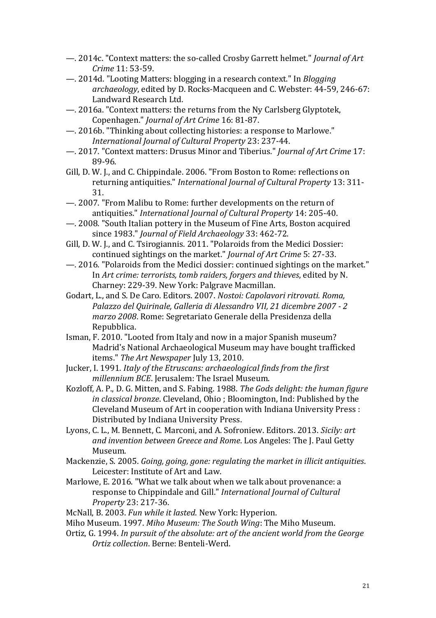- —. 2014c. "Context matters: the so-called Crosby Garrett helmet." *Journal of Art Crime* 11: 53-59.
- —. 2014d. "Looting Matters: blogging in a research context." In *Blogging archaeology*, edited by D. Rocks-Macqueen and C. Webster: 44-59, 246-67: Landward Research Ltd.
- —. 2016a. "Context matters: the returns from the Ny Carlsberg Glyptotek, Copenhagen." *Journal of Art Crime* 16: 81-87.
- —. 2016b. "Thinking about collecting histories: a response to Marlowe." *International Journal of Cultural Property* 23: 237-44.
- —. 2017. "Context matters: Drusus Minor and Tiberius." *Journal of Art Crime* 17: 89-96.
- Gill, D. W. J., and C. Chippindale. 2006. "From Boston to Rome: reflections on returning antiquities." *International Journal of Cultural Property* 13: 311- 31.
- —. 2007. "From Malibu to Rome: further developments on the return of antiquities." *International Journal of Cultural Property* 14: 205-40.
- —. 2008. "South Italian pottery in the Museum of Fine Arts, Boston acquired since 1983." *Journal of Field Archaeology* 33: 462-72.
- Gill, D. W. J., and C. Tsirogiannis. 2011. "Polaroids from the Medici Dossier: continued sightings on the market." *Journal of Art Crime* 5: 27-33.
- —. 2016. "Polaroids from the Medici dossier: continued sightings on the market." In *Art crime: terrorists, tomb raiders, forgers and thieves*, edited by N. Charney: 229-39. New York: Palgrave Macmillan.
- Godart, L., and S. De Caro. Editors. 2007. *Nostoi: Capolavori ritrovati. Roma, Palazzo del Quirinale, Galleria di Alessandro VII, 21 dicembre 2007 - 2 marzo 2008*. Rome: Segretariato Generale della Presidenza della Repubblica.
- Isman, F. 2010. "Looted from Italy and now in a major Spanish museum? Madrid's National Archaeological Museum may have bought trafficked items." *The Art Newspaper* July 13, 2010.
- Jucker, I. 1991. *Italy of the Etruscans: archaeological finds from the first millennium BCE*. Jerusalem: The Israel Museum.
- Kozloff, A. P., D. G. Mitten, and S. Fabing. 1988. *The Gods delight: the human figure in classical bronze*. Cleveland, Ohio ; Bloomington, Ind: Published by the Cleveland Museum of Art in cooperation with Indiana University Press : Distributed by Indiana University Press.
- Lyons, C. L., M. Bennett, C. Marconi, and A. Sofroniew. Editors. 2013. *Sicily: art and invention between Greece and Rome*. Los Angeles: The J. Paul Getty Museum.
- Mackenzie, S. 2005. *Going, going, gone: regulating the market in illicit antiquities*. Leicester: Institute of Art and Law.
- Marlowe, E. 2016. "What we talk about when we talk about provenance: a response to Chippindale and Gill." *International Journal of Cultural Property* 23: 217-36.
- McNall, B. 2003. *Fun while it lasted*. New York: Hyperion.
- Miho Museum. 1997. *Miho Museum: The South Wing*: The Miho Museum.
- Ortiz, G. 1994. *In pursuit of the absolute: art of the ancient world from the George Ortiz collection*. Berne: Benteli-Werd.